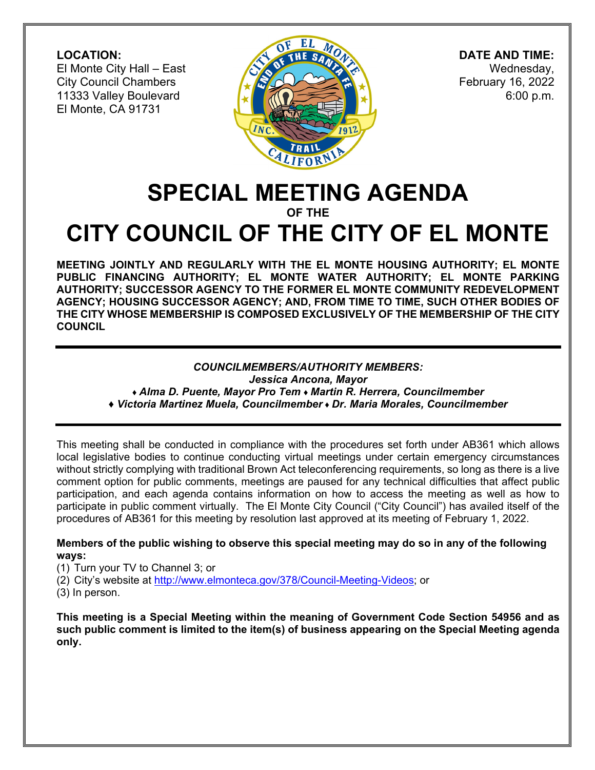**LOCATION:**  El Monte City Hall – East City Council Chambers 11333 Valley Boulevard El Monte, CA 91731



 **DATE AND TIME:** Wednesday, February 16, 2022 6:00 p.m.

# **SPECIAL MEETING AGENDA OF THE**

# **CITY COUNCIL OF THE CITY OF EL MONTE**

**MEETING JOINTLY AND REGULARLY WITH THE EL MONTE HOUSING AUTHORITY; EL MONTE PUBLIC FINANCING AUTHORITY; EL MONTE WATER AUTHORITY; EL MONTE PARKING AUTHORITY; SUCCESSOR AGENCY TO THE FORMER EL MONTE COMMUNITY REDEVELOPMENT AGENCY; HOUSING SUCCESSOR AGENCY; AND, FROM TIME TO TIME, SUCH OTHER BODIES OF THE CITY WHOSE MEMBERSHIP IS COMPOSED EXCLUSIVELY OF THE MEMBERSHIP OF THE CITY COUNCIL** 

#### *COUNCILMEMBERS/AUTHORITY MEMBERS:*

*Jessica Ancona, Mayor ♦ Alma D. Puente, Mayor Pro Tem ♦ Martin R. Herrera, Councilmember* 

*♦ Victoria Martinez Muela, Councilmember ♦ Dr. Maria Morales, Councilmember* 

This meeting shall be conducted in compliance with the procedures set forth under AB361 which allows local legislative bodies to continue conducting virtual meetings under certain emergency circumstances without strictly complying with traditional Brown Act teleconferencing requirements, so long as there is a live comment option for public comments, meetings are paused for any technical difficulties that affect public participation, and each agenda contains information on how to access the meeting as well as how to participate in public comment virtually. The El Monte City Council ("City Council") has availed itself of the procedures of AB361 for this meeting by resolution last approved at its meeting of February 1, 2022.

#### **Members of the public wishing to observe this special meeting may do so in any of the following ways:**

- (1) Turn your TV to Channel 3; or
- (2) City's website at http://www.elmonteca.gov/378/Council-Meeting-Videos; or
- (3) In person.

**This meeting is a Special Meeting within the meaning of Government Code Section 54956 and as such public comment is limited to the item(s) of business appearing on the Special Meeting agenda only.**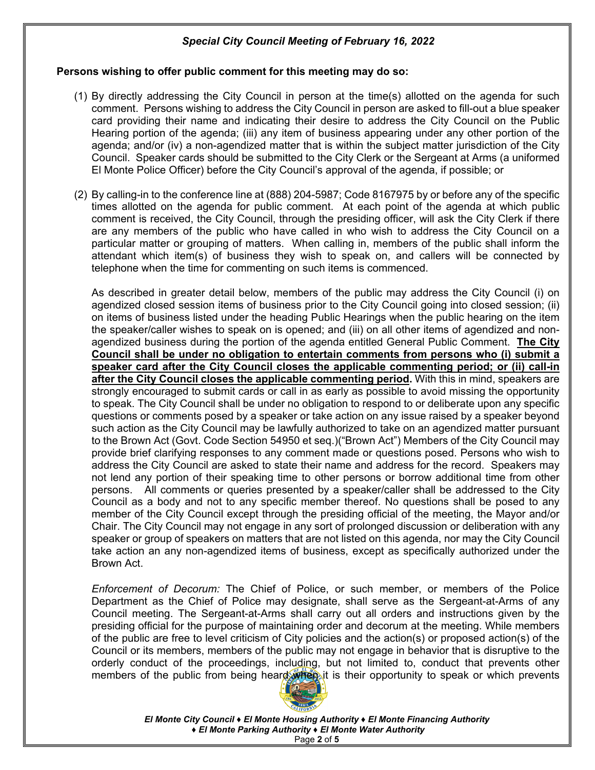#### **Persons wishing to offer public comment for this meeting may do so:**

- (1) By directly addressing the City Council in person at the time(s) allotted on the agenda for such comment. Persons wishing to address the City Council in person are asked to fill-out a blue speaker card providing their name and indicating their desire to address the City Council on the Public Hearing portion of the agenda; (iii) any item of business appearing under any other portion of the agenda; and/or (iv) a non-agendized matter that is within the subject matter jurisdiction of the City Council. Speaker cards should be submitted to the City Clerk or the Sergeant at Arms (a uniformed El Monte Police Officer) before the City Council's approval of the agenda, if possible; or
- (2) By calling-in to the conference line at (888) 204-5987; Code 8167975 by or before any of the specific times allotted on the agenda for public comment. At each point of the agenda at which public comment is received, the City Council, through the presiding officer, will ask the City Clerk if there are any members of the public who have called in who wish to address the City Council on a particular matter or grouping of matters. When calling in, members of the public shall inform the attendant which item(s) of business they wish to speak on, and callers will be connected by telephone when the time for commenting on such items is commenced.

As described in greater detail below, members of the public may address the City Council (i) on agendized closed session items of business prior to the City Council going into closed session; (ii) on items of business listed under the heading Public Hearings when the public hearing on the item the speaker/caller wishes to speak on is opened; and (iii) on all other items of agendized and nonagendized business during the portion of the agenda entitled General Public Comment. **The City Council shall be under no obligation to entertain comments from persons who (i) submit a speaker card after the City Council closes the applicable commenting period; or (ii) call-in after the City Council closes the applicable commenting period.** With this in mind, speakers are strongly encouraged to submit cards or call in as early as possible to avoid missing the opportunity to speak. The City Council shall be under no obligation to respond to or deliberate upon any specific questions or comments posed by a speaker or take action on any issue raised by a speaker beyond such action as the City Council may be lawfully authorized to take on an agendized matter pursuant to the Brown Act (Govt. Code Section 54950 et seq.)("Brown Act") Members of the City Council may provide brief clarifying responses to any comment made or questions posed. Persons who wish to address the City Council are asked to state their name and address for the record. Speakers may not lend any portion of their speaking time to other persons or borrow additional time from other persons. All comments or queries presented by a speaker/caller shall be addressed to the City Council as a body and not to any specific member thereof. No questions shall be posed to any member of the City Council except through the presiding official of the meeting, the Mayor and/or Chair. The City Council may not engage in any sort of prolonged discussion or deliberation with any speaker or group of speakers on matters that are not listed on this agenda, nor may the City Council take action an any non-agendized items of business, except as specifically authorized under the Brown Act.

*Enforcement of Decorum:* The Chief of Police, or such member, or members of the Police Department as the Chief of Police may designate, shall serve as the Sergeant-at-Arms of any Council meeting. The Sergeant-at-Arms shall carry out all orders and instructions given by the presiding official for the purpose of maintaining order and decorum at the meeting. While members of the public are free to level criticism of City policies and the action(s) or proposed action(s) of the Council or its members, members of the public may not engage in behavior that is disruptive to the orderly conduct of the proceedings, including, but not limited to, conduct that prevents other members of the public from being heard when it is their opportunity to speak or which prevents



*El Monte City Council ♦ El Monte Housing Authority ♦ El Monte Financing Authority ♦ El Monte Parking Authority ♦ El Monte Water Authority*  Page **2** of **5**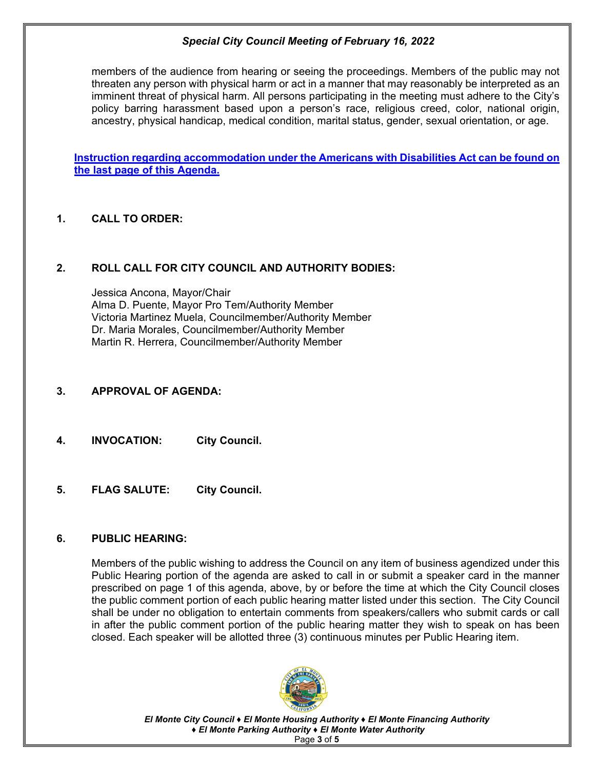members of the audience from hearing or seeing the proceedings. Members of the public may not threaten any person with physical harm or act in a manner that may reasonably be interpreted as an imminent threat of physical harm. All persons participating in the meeting must adhere to the City's policy barring harassment based upon a person's race, religious creed, color, national origin, ancestry, physical handicap, medical condition, marital status, gender, sexual orientation, or age.

**Instruction regarding accommodation under the Americans with Disabilities Act can be found on the last page of this Agenda.** 

# **1. CALL TO ORDER:**

#### **2. ROLL CALL FOR CITY COUNCIL AND AUTHORITY BODIES:**

Jessica Ancona, Mayor/Chair Alma D. Puente, Mayor Pro Tem/Authority Member Victoria Martinez Muela, Councilmember/Authority Member Dr. Maria Morales, Councilmember/Authority Member Martin R. Herrera, Councilmember/Authority Member

#### **3. APPROVAL OF AGENDA:**

- **4. INVOCATION: City Council.**
- **5. FLAG SALUTE: City Council.**

#### **6. PUBLIC HEARING:**

Members of the public wishing to address the Council on any item of business agendized under this Public Hearing portion of the agenda are asked to call in or submit a speaker card in the manner prescribed on page 1 of this agenda, above, by or before the time at which the City Council closes the public comment portion of each public hearing matter listed under this section. The City Council shall be under no obligation to entertain comments from speakers/callers who submit cards or call in after the public comment portion of the public hearing matter they wish to speak on has been closed. Each speaker will be allotted three (3) continuous minutes per Public Hearing item.



*El Monte City Council ♦ El Monte Housing Authority ♦ El Monte Financing Authority ♦ El Monte Parking Authority ♦ El Monte Water Authority*  Page **3** of **5**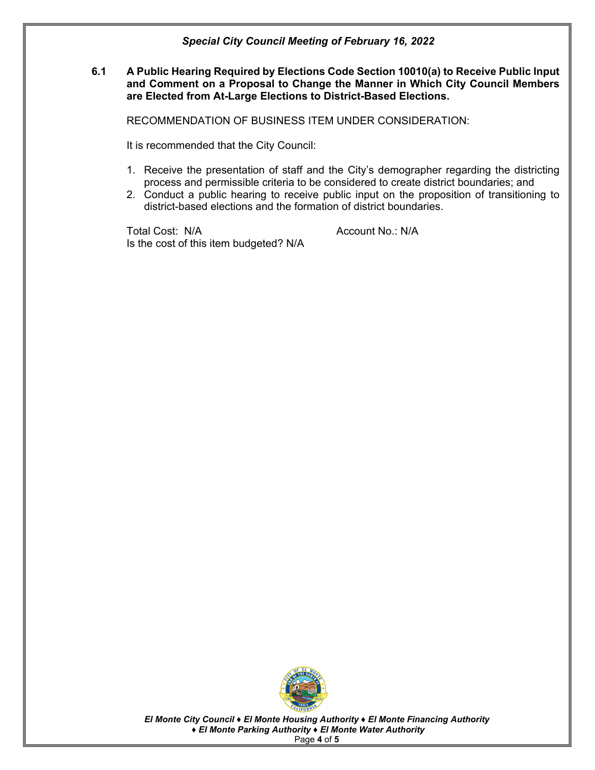#### **6.1 A Public Hearing Required by Elections Code Section 10010(a) to Receive Public Input and Comment on a Proposal to Change the Manner in Which City Council Members are Elected from At-Large Elections to District-Based Elections.**

RECOMMENDATION OF BUSINESS ITEM UNDER CONSIDERATION:

It is recommended that the City Council:

- 1. Receive the presentation of staff and the City's demographer regarding the districting process and permissible criteria to be considered to create district boundaries; and
- 2. Conduct a public hearing to receive public input on the proposition of transitioning to district-based elections and the formation of district boundaries.

Total Cost: N/A Account No.: N/A Is the cost of this item budgeted? N/A



*El Monte City Council ♦ El Monte Housing Authority ♦ El Monte Financing Authority ♦ El Monte Parking Authority ♦ El Monte Water Authority*  Page **4** of **5**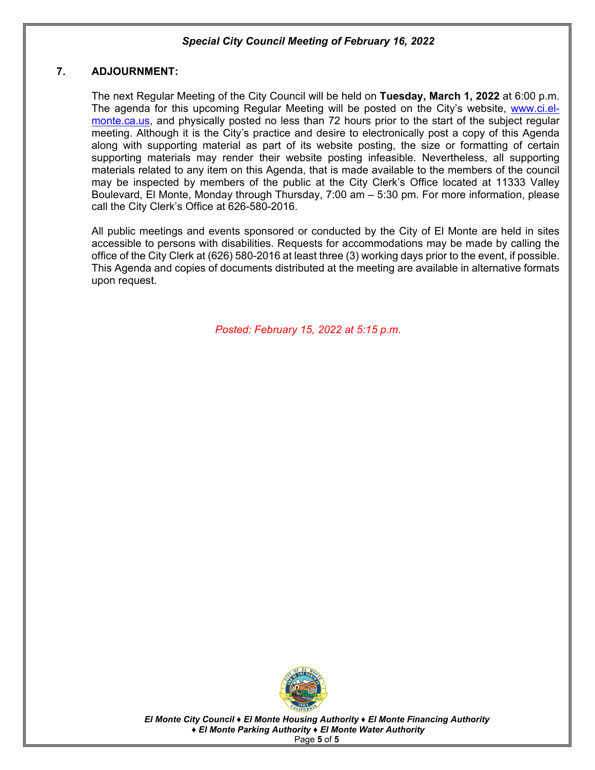#### **7. ADJOURNMENT:**

The next Regular Meeting of the City Council will be held on **Tuesday, March 1, 2022** at 6:00 p.m. The agenda for this upcoming Regular Meeting will be posted on the City's website, www.ci.elmonte.ca.us, and physically posted no less than 72 hours prior to the start of the subject regular meeting. Although it is the City's practice and desire to electronically post a copy of this Agenda along with supporting material as part of its website posting, the size or formatting of certain supporting materials may render their website posting infeasible. Nevertheless, all supporting materials related to any item on this Agenda, that is made available to the members of the council may be inspected by members of the public at the City Clerk's Office located at 11333 Valley Boulevard, El Monte, Monday through Thursday, 7:00 am – 5:30 pm. For more information, please call the City Clerk's Office at 626-580-2016.

 All public meetings and events sponsored or conducted by the City of El Monte are held in sites accessible to persons with disabilities. Requests for accommodations may be made by calling the office of the City Clerk at (626) 580-2016 at least three (3) working days prior to the event, if possible. This Agenda and copies of documents distributed at the meeting are available in alternative formats upon request.

*Posted: February 15, 2022 at 5:15 p.m.*



*El Monte City Council ♦ El Monte Housing Authority ♦ El Monte Financing Authority ♦ El Monte Parking Authority ♦ El Monte Water Authority*  Page **5** of **5**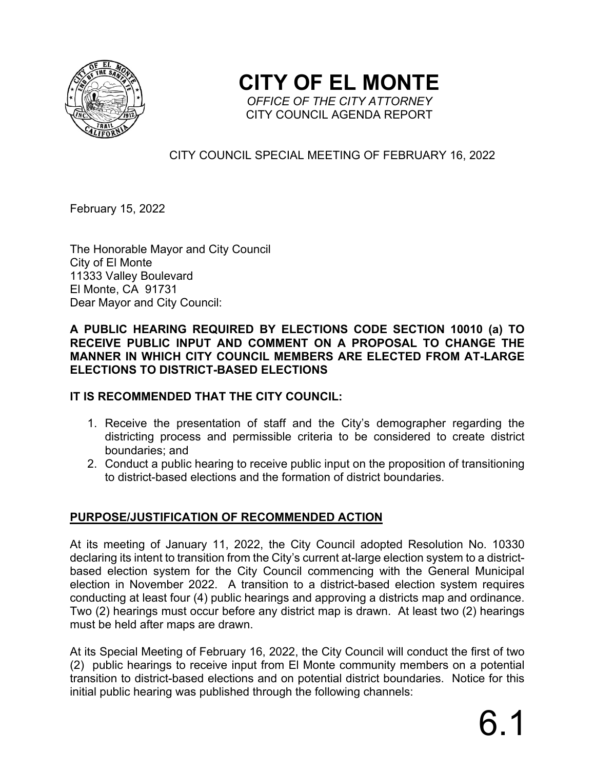

**CITY OF EL MONTE**  *OFFICE OF THE CITY ATTORNEY* 

CITY COUNCIL AGENDA REPORT

# CITY COUNCIL SPECIAL MEETING OF FEBRUARY 16, 2022

February 15, 2022

The Honorable Mayor and City Council City of El Monte 11333 Valley Boulevard El Monte, CA 91731 Dear Mayor and City Council:

# **A PUBLIC HEARING REQUIRED BY ELECTIONS CODE SECTION 10010 (a) TO RECEIVE PUBLIC INPUT AND COMMENT ON A PROPOSAL TO CHANGE THE MANNER IN WHICH CITY COUNCIL MEMBERS ARE ELECTED FROM AT-LARGE ELECTIONS TO DISTRICT-BASED ELECTIONS**

# **IT IS RECOMMENDED THAT THE CITY COUNCIL:**

- 1. Receive the presentation of staff and the City's demographer regarding the districting process and permissible criteria to be considered to create district boundaries; and
- 2. Conduct a public hearing to receive public input on the proposition of transitioning to district-based elections and the formation of district boundaries.

# **PURPOSE/JUSTIFICATION OF RECOMMENDED ACTION**

At its meeting of January 11, 2022, the City Council adopted Resolution No. 10330 declaring its intent to transition from the City's current at-large election system to a districtbased election system for the City Council commencing with the General Municipal election in November 2022. A transition to a district-based election system requires conducting at least four (4) public hearings and approving a districts map and ordinance. Two (2) hearings must occur before any district map is drawn. At least two (2) hearings must be held after maps are drawn.

At its Special Meeting of February 16, 2022, the City Council will conduct the first of two (2) public hearings to receive input from El Monte community members on a potential transition to district-based elections and on potential district boundaries. Notice for this initial public hearing was published through the following channels: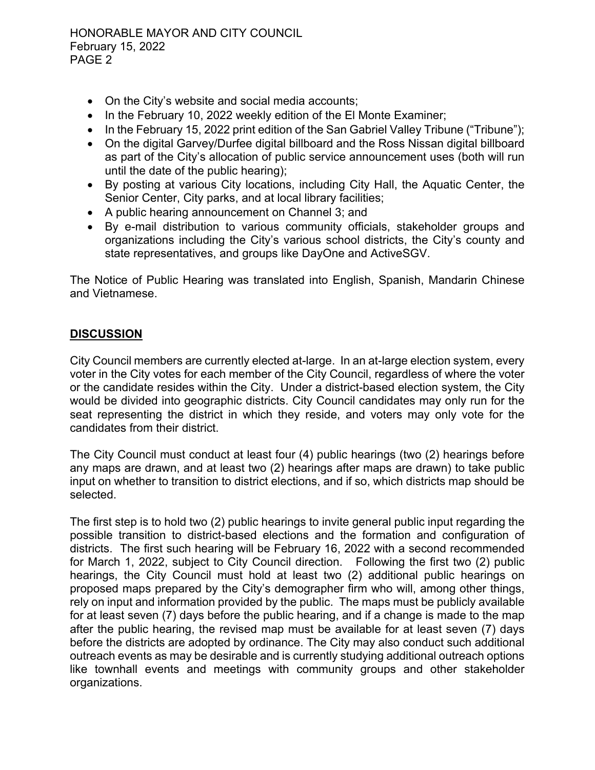- On the City's website and social media accounts;
- In the February 10, 2022 weekly edition of the El Monte Examiner;
- In the February 15, 2022 print edition of the San Gabriel Valley Tribune ("Tribune");
- On the digital Garvey/Durfee digital billboard and the Ross Nissan digital billboard as part of the City's allocation of public service announcement uses (both will run until the date of the public hearing);
- By posting at various City locations, including City Hall, the Aquatic Center, the Senior Center, City parks, and at local library facilities;
- A public hearing announcement on Channel 3; and
- By e-mail distribution to various community officials, stakeholder groups and organizations including the City's various school districts, the City's county and state representatives, and groups like DayOne and ActiveSGV.

The Notice of Public Hearing was translated into English, Spanish, Mandarin Chinese and Vietnamese.

# **DISCUSSION**

City Council members are currently elected at-large. In an at-large election system, every voter in the City votes for each member of the City Council, regardless of where the voter or the candidate resides within the City. Under a district-based election system, the City would be divided into geographic districts. City Council candidates may only run for the seat representing the district in which they reside, and voters may only vote for the candidates from their district.

The City Council must conduct at least four (4) public hearings (two (2) hearings before any maps are drawn, and at least two (2) hearings after maps are drawn) to take public input on whether to transition to district elections, and if so, which districts map should be selected.

The first step is to hold two (2) public hearings to invite general public input regarding the possible transition to district-based elections and the formation and configuration of districts. The first such hearing will be February 16, 2022 with a second recommended for March 1, 2022, subject to City Council direction. Following the first two (2) public hearings, the City Council must hold at least two (2) additional public hearings on proposed maps prepared by the City's demographer firm who will, among other things, rely on input and information provided by the public. The maps must be publicly available for at least seven (7) days before the public hearing, and if a change is made to the map after the public hearing, the revised map must be available for at least seven (7) days before the districts are adopted by ordinance. The City may also conduct such additional outreach events as may be desirable and is currently studying additional outreach options like townhall events and meetings with community groups and other stakeholder organizations.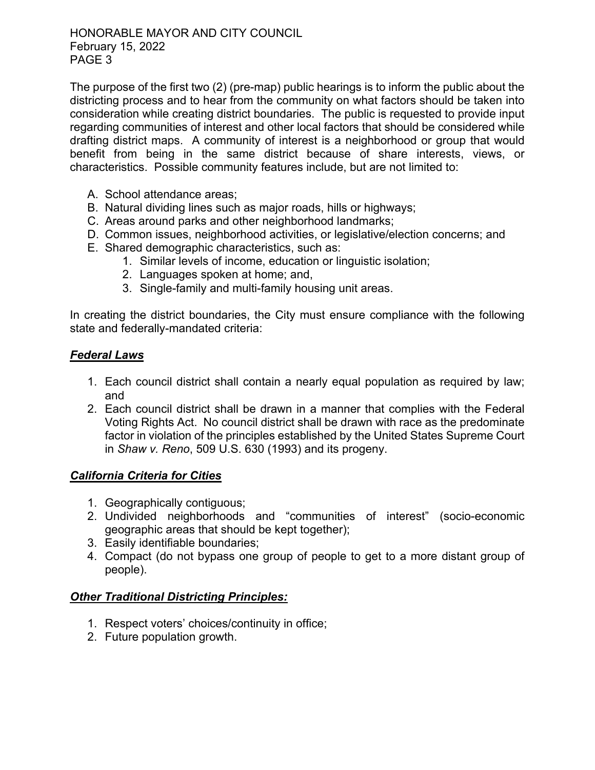The purpose of the first two (2) (pre-map) public hearings is to inform the public about the districting process and to hear from the community on what factors should be taken into consideration while creating district boundaries. The public is requested to provide input regarding communities of interest and other local factors that should be considered while drafting district maps. A community of interest is a neighborhood or group that would benefit from being in the same district because of share interests, views, or characteristics. Possible community features include, but are not limited to:

- A. School attendance areas;
- B. Natural dividing lines such as major roads, hills or highways;
- C. Areas around parks and other neighborhood landmarks;
- D. Common issues, neighborhood activities, or legislative/election concerns; and
- E. Shared demographic characteristics, such as:
	- 1. Similar levels of income, education or linguistic isolation;
	- 2. Languages spoken at home; and,
	- 3. Single-family and multi-family housing unit areas.

In creating the district boundaries, the City must ensure compliance with the following state and federally-mandated criteria:

# *Federal Laws*

- 1. Each council district shall contain a nearly equal population as required by law; and
- 2. Each council district shall be drawn in a manner that complies with the Federal Voting Rights Act. No council district shall be drawn with race as the predominate factor in violation of the principles established by the United States Supreme Court in *Shaw v. Reno*, 509 U.S. 630 (1993) and its progeny.

# *California Criteria for Cities*

- 1. Geographically contiguous;
- 2. Undivided neighborhoods and "communities of interest" (socio-economic geographic areas that should be kept together);
- 3. Easily identifiable boundaries;
- 4. Compact (do not bypass one group of people to get to a more distant group of people).

# *Other Traditional Districting Principles:*

- 1. Respect voters' choices/continuity in office;
- 2. Future population growth.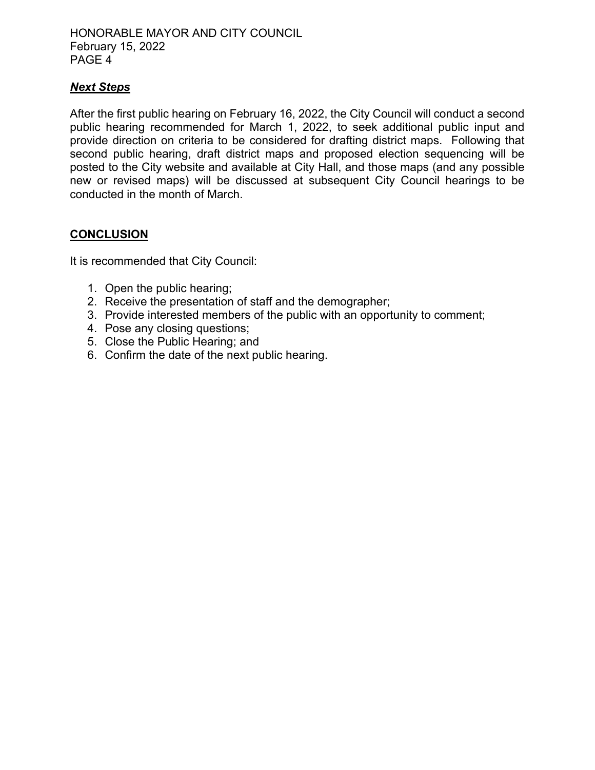# *Next Steps*

After the first public hearing on February 16, 2022, the City Council will conduct a second public hearing recommended for March 1, 2022, to seek additional public input and provide direction on criteria to be considered for drafting district maps. Following that second public hearing, draft district maps and proposed election sequencing will be posted to the City website and available at City Hall, and those maps (and any possible new or revised maps) will be discussed at subsequent City Council hearings to be conducted in the month of March.

# **CONCLUSION**

It is recommended that City Council:

- 1. Open the public hearing;
- 2. Receive the presentation of staff and the demographer;
- 3. Provide interested members of the public with an opportunity to comment;
- 4. Pose any closing questions;
- 5. Close the Public Hearing; and
- 6. Confirm the date of the next public hearing.